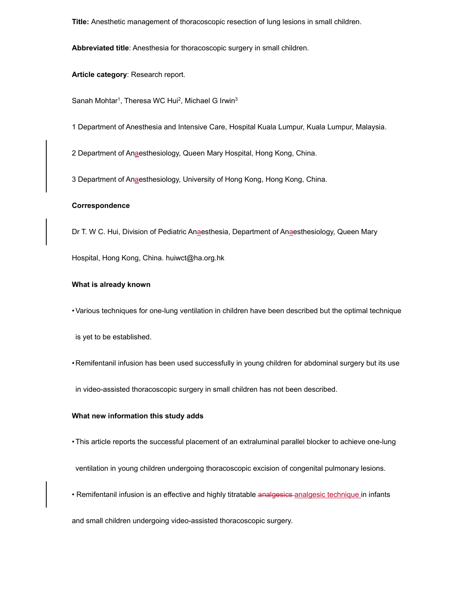**Title:** Anesthetic management of thoracoscopic resection of lung lesions in small children.

**Abbreviated title**: Anesthesia for thoracoscopic surgery in small children.

**Article category**: Research report.

Sanah Mohtar<sup>1</sup>, Theresa WC Hui<sup>2</sup>, Michael G Irwin<sup>3</sup>

1 Department of Anesthesia and Intensive Care, Hospital Kuala Lumpur, Kuala Lumpur, Malaysia.

2 Department of Anaesthesiology, Queen Mary Hospital, Hong Kong, China.

3 Department of Anaesthesiology, University of Hong Kong, Hong Kong, China.

# **Correspondence**

Dr T. W C. Hui, Division of Pediatric Anaesthesia, Department of Anaesthesiology, Queen Mary

Hospital, Hong Kong, China. huiwct@ha.org.hk

# **What is already known**

• Various techniques for one-lung ventilation in children have been described but the optimal technique

is yet to be established.

• Remifentanil infusion has been used successfully in young children for abdominal surgery but its use

in video-assisted thoracoscopic surgery in small children has not been described.

#### **What new information this study adds**

• This article reports the successful placement of an extraluminal parallel blocker to achieve one-lung

ventilation in young children undergoing thoracoscopic excision of congenital pulmonary lesions.

• Remifentanil infusion is an effective and highly titratable analgesics-analgesic technique in infants

and small children undergoing video-assisted thoracoscopic surgery.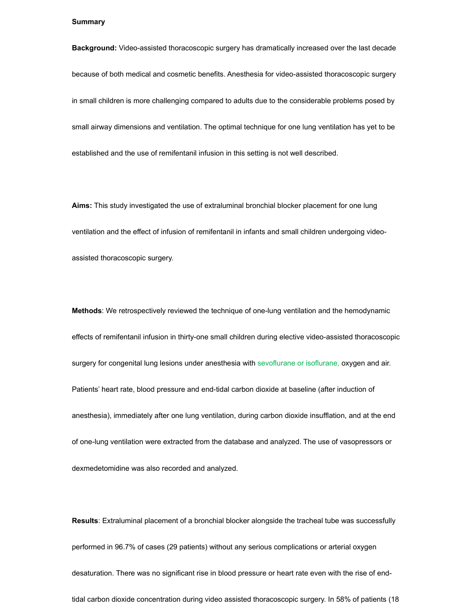#### **Summary**

**Background:** Video-assisted thoracoscopic surgery has dramatically increased over the last decade because of both medical and cosmetic benefits. Anesthesia for video-assisted thoracoscopic surgery in small children is more challenging compared to adults due to the considerable problems posed by small airway dimensions and ventilation. The optimal technique for one lung ventilation has yet to be established and the use of remifentanil infusion in this setting is not well described.

**Aims:** This study investigated the use of extraluminal bronchial blocker placement for one lung ventilation and the effect of infusion of remifentanil in infants and small children undergoing videoassisted thoracoscopic surgery.

**Methods**: We retrospectively reviewed the technique of one-lung ventilation and the hemodynamic effects of remifentanil infusion in thirty-one small children during elective video-assisted thoracoscopic surgery for congenital lung lesions under anesthesia with sevoflurane or isoflurane, oxygen and air. Patients' heart rate, blood pressure and end-tidal carbon dioxide at baseline (after induction of anesthesia), immediately after one lung ventilation, during carbon dioxide insufflation, and at the end of one-lung ventilation were extracted from the database and analyzed. The use of vasopressors or dexmedetomidine was also recorded and analyzed.

**Results**: Extraluminal placement of a bronchial blocker alongside the tracheal tube was successfully performed in 96.7% of cases (29 patients) without any serious complications or arterial oxygen desaturation. There was no significant rise in blood pressure or heart rate even with the rise of endtidal carbon dioxide concentration during video assisted thoracoscopic surgery. In 58% of patients (18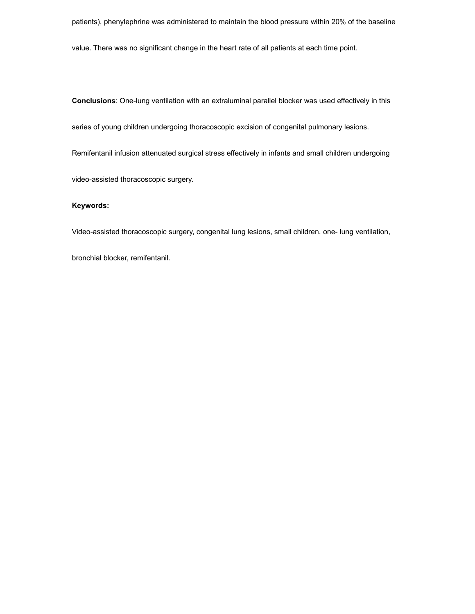patients), phenylephrine was administered to maintain the blood pressure within 20% of the baseline

value. There was no significant change in the heart rate of all patients at each time point.

**Conclusions**: One-lung ventilation with an extraluminal parallel blocker was used effectively in this

series of young children undergoing thoracoscopic excision of congenital pulmonary lesions.

Remifentanil infusion attenuated surgical stress effectively in infants and small children undergoing

video-assisted thoracoscopic surgery.

## **Keywords:**

Video-assisted thoracoscopic surgery, congenital lung lesions, small children, one- lung ventilation,

bronchial blocker, remifentanil.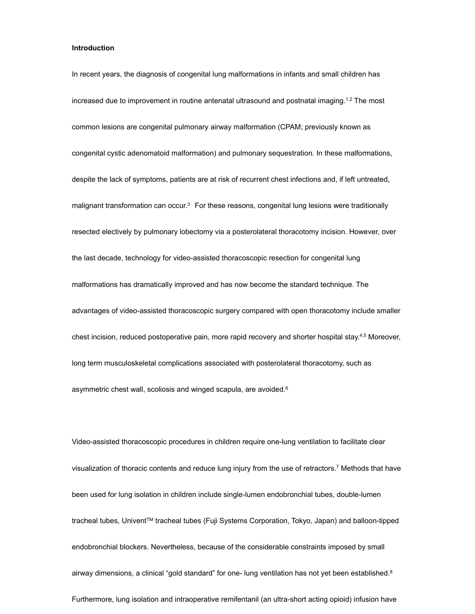## **Introduction**

In recent years, the diagnosis of congenital lung malformations in infants and small children has increased due to improvement in routine antenatal ultrasound and postnatal imaging.<sup>1,2</sup> The most common lesions are congenital pulmonary airway malformation (CPAM; previously known as congenital cystic adenomatoid malformation) and pulmonary sequestration. In these malformations, despite the lack of symptoms, patients are at risk of recurrent chest infections and, if left untreated, malignant transformation can occur.3 For these reasons, congenital lung lesions were traditionally resected electively by pulmonary lobectomy via a posterolateral thoracotomy incision. However, over the last decade, technology for video-assisted thoracoscopic resection for congenital lung malformations has dramatically improved and has now become the standard technique. The advantages of video-assisted thoracoscopic surgery compared with open thoracotomy include smaller chest incision, reduced postoperative pain, more rapid recovery and shorter hospital stay.4,5 Moreover, long term musculoskeletal complications associated with posterolateral thoracotomy, such as asymmetric chest wall, scoliosis and winged scapula, are avoided.6

Video-assisted thoracoscopic procedures in children require one-lung ventilation to facilitate clear visualization of thoracic contents and reduce lung injury from the use of retractors.7 Methods that have been used for lung isolation in children include single-lumen endobronchial tubes, double-lumen tracheal tubes, UniventTM tracheal tubes (Fuji Systems Corporation, Tokyo, Japan) and balloon-tipped endobronchial blockers. Nevertheless, because of the considerable constraints imposed by small airway dimensions, a clinical "gold standard" for one- lung ventilation has not yet been established.<sup>8</sup> Furthermore, lung isolation and intraoperative remifentanil (an ultra-short acting opioid) infusion have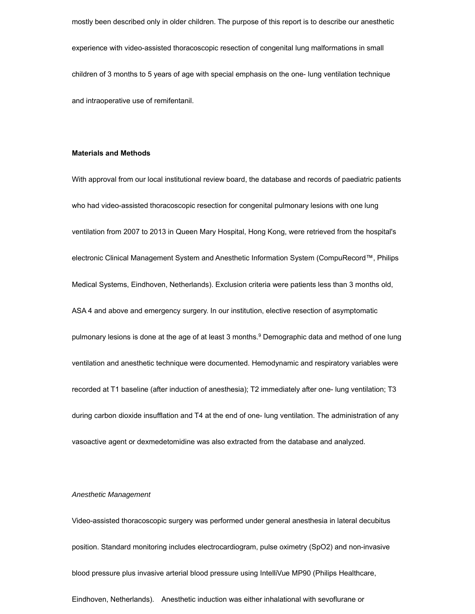mostly been described only in older children. The purpose of this report is to describe our anesthetic experience with video-assisted thoracoscopic resection of congenital lung malformations in small children of 3 months to 5 years of age with special emphasis on the one- lung ventilation technique and intraoperative use of remifentanil.

### **Materials and Methods**

With approval from our local institutional review board, the database and records of paediatric patients who had video-assisted thoracoscopic resection for congenital pulmonary lesions with one lung ventilation from 2007 to 2013 in Queen Mary Hospital, Hong Kong, were retrieved from the hospital's electronic Clinical Management System and Anesthetic Information System (CompuRecord™, Philips Medical Systems, Eindhoven, Netherlands). Exclusion criteria were patients less than 3 months old, ASA 4 and above and emergency surgery. In our institution, elective resection of asymptomatic pulmonary lesions is done at the age of at least 3 months.<sup>9</sup> Demographic data and method of one lung ventilation and anesthetic technique were documented. Hemodynamic and respiratory variables were recorded at T1 baseline (after induction of anesthesia); T2 immediately after one- lung ventilation; T3 during carbon dioxide insufflation and T4 at the end of one- lung ventilation. The administration of any vasoactive agent or dexmedetomidine was also extracted from the database and analyzed.

#### *Anesthetic Management*

Video-assisted thoracoscopic surgery was performed under general anesthesia in lateral decubitus position. Standard monitoring includes electrocardiogram, pulse oximetry (SpO2) and non-invasive blood pressure plus invasive arterial blood pressure using IntelliVue MP90 (Philips Healthcare, Eindhoven, Netherlands). Anesthetic induction was either inhalational with sevoflurane or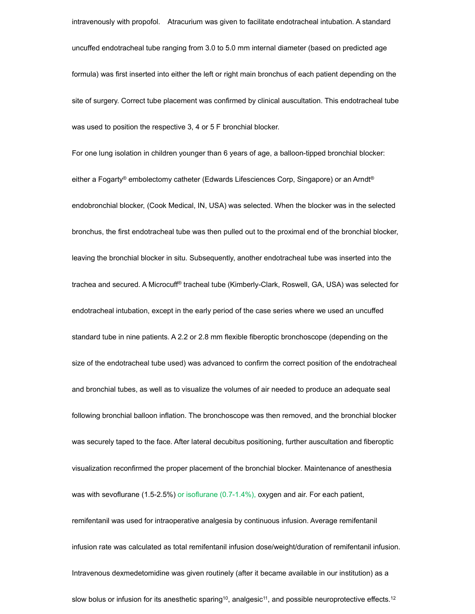intravenously with propofol. Atracurium was given to facilitate endotracheal intubation. A standard uncuffed endotracheal tube ranging from 3.0 to 5.0 mm internal diameter (based on predicted age formula) was first inserted into either the left or right main bronchus of each patient depending on the site of surgery. Correct tube placement was confirmed by clinical auscultation. This endotracheal tube was used to position the respective 3, 4 or 5 F bronchial blocker.

For one lung isolation in children younger than 6 years of age, a balloon-tipped bronchial blocker: either a Fogarty® embolectomy catheter (Edwards Lifesciences Corp, Singapore) or an Arndt® endobronchial blocker, (Cook Medical, IN, USA) was selected. When the blocker was in the selected bronchus, the first endotracheal tube was then pulled out to the proximal end of the bronchial blocker, leaving the bronchial blocker in situ. Subsequently, another endotracheal tube was inserted into the trachea and secured. A Microcuff® tracheal tube (Kimberly-Clark, Roswell, GA, USA) was selected for endotracheal intubation, except in the early period of the case series where we used an uncuffed standard tube in nine patients. A 2.2 or 2.8 mm flexible fiberoptic bronchoscope (depending on the size of the endotracheal tube used) was advanced to confirm the correct position of the endotracheal and bronchial tubes, as well as to visualize the volumes of air needed to produce an adequate seal following bronchial balloon inflation. The bronchoscope was then removed, and the bronchial blocker was securely taped to the face. After lateral decubitus positioning, further auscultation and fiberoptic visualization reconfirmed the proper placement of the bronchial blocker. Maintenance of anesthesia was with sevoflurane (1.5-2.5%) or isoflurane (0.7-1.4%), oxygen and air. For each patient, remifentanil was used for intraoperative analgesia by continuous infusion. Average remifentanil infusion rate was calculated as total remifentanil infusion dose/weight/duration of remifentanil infusion. Intravenous dexmedetomidine was given routinely (after it became available in our institution) as a slow bolus or infusion for its anesthetic sparing<sup>10</sup>, analgesic<sup>11</sup>, and possible neuroprotective effects.<sup>12</sup>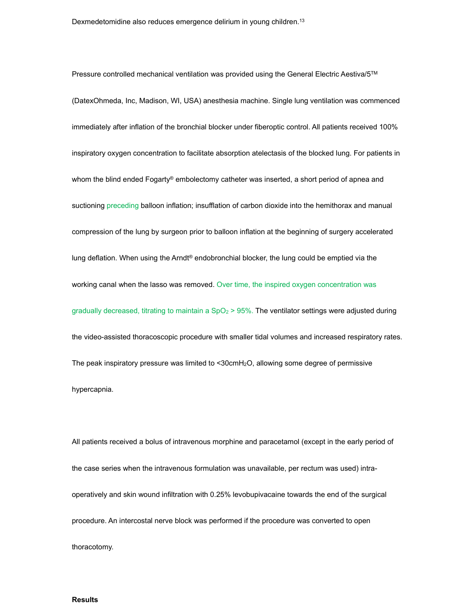Pressure controlled mechanical ventilation was provided using the General Electric Aestiva/5TM (DatexOhmeda, Inc, Madison, WI, USA) anesthesia machine. Single lung ventilation was commenced immediately after inflation of the bronchial blocker under fiberoptic control. All patients received 100% inspiratory oxygen concentration to facilitate absorption atelectasis of the blocked lung. For patients in whom the blind ended Fogarty® embolectomy catheter was inserted, a short period of apnea and suctioning preceding balloon inflation; insufflation of carbon dioxide into the hemithorax and manual compression of the lung by surgeon prior to balloon inflation at the beginning of surgery accelerated lung deflation. When using the Arndt® endobronchial blocker, the lung could be emptied via the working canal when the lasso was removed. Over time, the inspired oxygen concentration was gradually decreased, titrating to maintain a  $SpO<sub>2</sub> > 95%$ . The ventilator settings were adjusted during the video-assisted thoracoscopic procedure with smaller tidal volumes and increased respiratory rates. The peak inspiratory pressure was limited to <30cmH2O, allowing some degree of permissive hypercapnia.

All patients received a bolus of intravenous morphine and paracetamol (except in the early period of the case series when the intravenous formulation was unavailable, per rectum was used) intraoperatively and skin wound infiltration with 0.25% levobupivacaine towards the end of the surgical procedure. An intercostal nerve block was performed if the procedure was converted to open thoracotomy.

### **Results**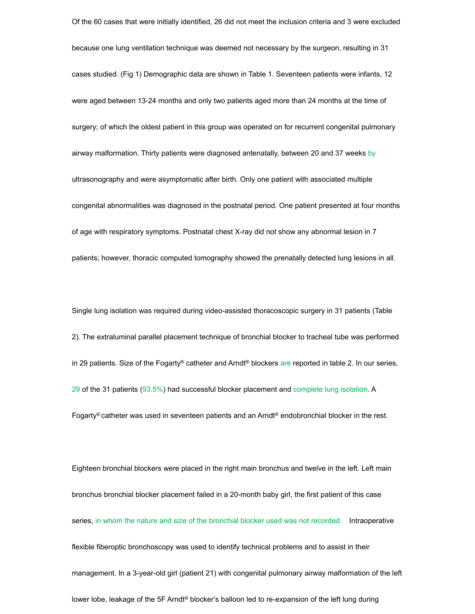Of the 60 cases that were initially identified, 26 did not meet the inclusion criteria and 3 were excluded because one lung ventilation technique was deemed not necessary by the surgeon, resulting in 31 cases studied. (Fig 1) Demographic data are shown in Table 1. Seventeen patients were infants, 12 were aged between 13-24 months and only two patients aged more than 24 months at the time of surgery; of which the oldest patient in this group was operated on for recurrent congenital pulmonary airway malformation. Thirty patients were diagnosed antenatally, between 20 and 37 weeks by ultrasonography and were asymptomatic after birth. Only one patient with associated multiple congenital abnormalities was diagnosed in the postnatal period. One patient presented at four months of age with respiratory symptoms. Postnatal chest X-ray did not show any abnormal lesion in 7 patients; however, thoracic computed tomography showed the prenatally detected lung lesions in all.

Single lung isolation was required during video-assisted thoracoscopic surgery in 31 patients (Table 2). The extraluminal parallel placement technique of bronchial blocker to tracheal tube was performed in 29 patients. Size of the Fogarty<sup>®</sup> catheter and Arndt<sup>®</sup> blockers are reported in table 2. In our series, 29 of the 31 patients (93.5%) had successful blocker placement and complete lung isolation. A Fogarty® catheter was used in seventeen patients and an Arndt® endobronchial blocker in the rest.

Eighteen bronchial blockers were placed in the right main bronchus and twelve in the left. Left main bronchus bronchial blocker placement failed in a 20-month baby girl, the first patient of this case series, in whom the nature and size of the bronchial blocker used was not recorded. Intraoperative flexible fiberoptic bronchoscopy was used to identify technical problems and to assist in their management. In a 3-year-old girl (patient 21) with congenital pulmonary airway malformation of the left lower lobe, leakage of the 5F Arndt® blocker's balloon led to re-expansion of the left lung during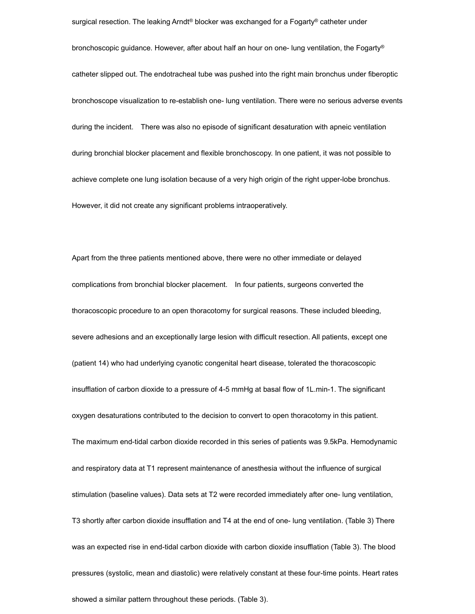surgical resection. The leaking Arndt<sup>®</sup> blocker was exchanged for a Fogarty<sup>®</sup> catheter under bronchoscopic guidance. However, after about half an hour on one- lung ventilation, the Fogarty® catheter slipped out. The endotracheal tube was pushed into the right main bronchus under fiberoptic bronchoscope visualization to re-establish one- lung ventilation. There were no serious adverse events during the incident. There was also no episode of significant desaturation with apneic ventilation during bronchial blocker placement and flexible bronchoscopy. In one patient, it was not possible to achieve complete one lung isolation because of a very high origin of the right upper-lobe bronchus. However, it did not create any significant problems intraoperatively.

Apart from the three patients mentioned above, there were no other immediate or delayed complications from bronchial blocker placement. In four patients, surgeons converted the thoracoscopic procedure to an open thoracotomy for surgical reasons. These included bleeding, severe adhesions and an exceptionally large lesion with difficult resection. All patients, except one (patient 14) who had underlying cyanotic congenital heart disease, tolerated the thoracoscopic insufflation of carbon dioxide to a pressure of 4-5 mmHg at basal flow of 1L.min-1. The significant oxygen desaturations contributed to the decision to convert to open thoracotomy in this patient. The maximum end-tidal carbon dioxide recorded in this series of patients was 9.5kPa. Hemodynamic and respiratory data at T1 represent maintenance of anesthesia without the influence of surgical stimulation (baseline values). Data sets at T2 were recorded immediately after one- lung ventilation, T3 shortly after carbon dioxide insufflation and T4 at the end of one- lung ventilation. (Table 3) There was an expected rise in end-tidal carbon dioxide with carbon dioxide insufflation (Table 3). The blood pressures (systolic, mean and diastolic) were relatively constant at these four-time points. Heart rates showed a similar pattern throughout these periods. (Table 3).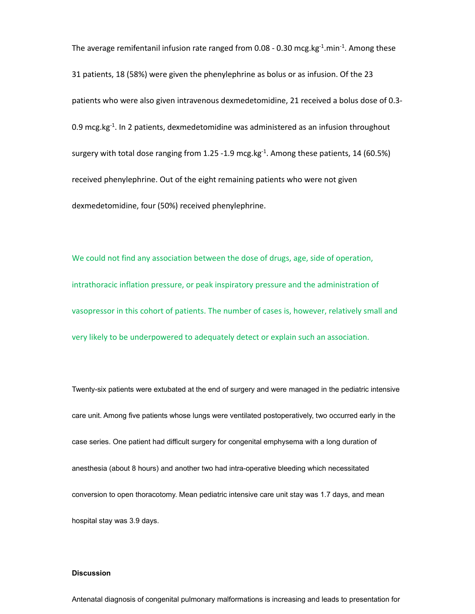The average remifentanil infusion rate ranged from 0.08 - 0.30 mcg.kg $^{-1}$ .min $^{-1}$ . Among these 31 patients, 18 (58%) were given the phenylephrine as bolus or as infusion. Of the 23 patients who were also given intravenous dexmedetomidine, 21 received a bolus dose of 0.3‐ 0.9 mcg.kg $^{-1}$ . In 2 patients, dexmedetomidine was administered as an infusion throughout surgery with total dose ranging from 1.25 -1.9 mcg.kg $^{-1}$ . Among these patients, 14 (60.5%) received phenylephrine. Out of the eight remaining patients who were not given dexmedetomidine, four (50%) received phenylephrine.

We could not find any association between the dose of drugs, age, side of operation, intrathoracic inflation pressure, or peak inspiratory pressure and the administration of vasopressor in this cohort of patients. The number of cases is, however, relatively small and very likely to be underpowered to adequately detect or explain such an association.

Twenty-six patients were extubated at the end of surgery and were managed in the pediatric intensive care unit. Among five patients whose lungs were ventilated postoperatively, two occurred early in the case series. One patient had difficult surgery for congenital emphysema with a long duration of anesthesia (about 8 hours) and another two had intra-operative bleeding which necessitated conversion to open thoracotomy. Mean pediatric intensive care unit stay was 1.7 days, and mean hospital stay was 3.9 days.

### **Discussion**

Antenatal diagnosis of congenital pulmonary malformations is increasing and leads to presentation for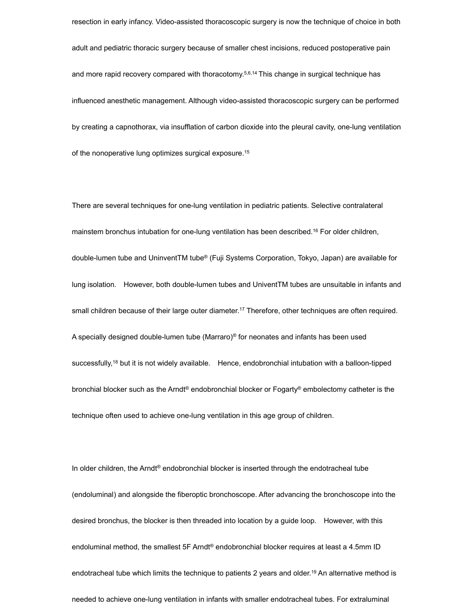resection in early infancy. Video-assisted thoracoscopic surgery is now the technique of choice in both adult and pediatric thoracic surgery because of smaller chest incisions, reduced postoperative pain and more rapid recovery compared with thoracotomy.<sup>5,6,14</sup> This change in surgical technique has influenced anesthetic management. Although video-assisted thoracoscopic surgery can be performed by creating a capnothorax, via insufflation of carbon dioxide into the pleural cavity, one-lung ventilation of the nonoperative lung optimizes surgical exposure.15

There are several techniques for one-lung ventilation in pediatric patients. Selective contralateral mainstem bronchus intubation for one-lung ventilation has been described.16 For older children, double-lumen tube and UninventTM tube® (Fuji Systems Corporation, Tokyo, Japan) are available for lung isolation. However, both double-lumen tubes and UniventTM tubes are unsuitable in infants and small children because of their large outer diameter.17 Therefore, other techniques are often required. A specially designed double-lumen tube (Marraro)® for neonates and infants has been used successfully,<sup>18</sup> but it is not widely available. Hence, endobronchial intubation with a balloon-tipped bronchial blocker such as the Arndt® endobronchial blocker or Fogarty® embolectomy catheter is the technique often used to achieve one-lung ventilation in this age group of children.

In older children, the Arndt® endobronchial blocker is inserted through the endotracheal tube (endoluminal) and alongside the fiberoptic bronchoscope. After advancing the bronchoscope into the desired bronchus, the blocker is then threaded into location by a guide loop. However, with this endoluminal method, the smallest 5F Arndt® endobronchial blocker requires at least a 4.5mm ID endotracheal tube which limits the technique to patients 2 years and older.19 An alternative method is needed to achieve one-lung ventilation in infants with smaller endotracheal tubes. For extraluminal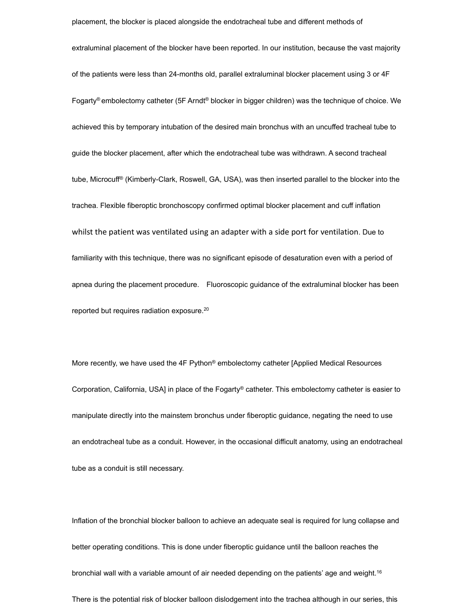placement, the blocker is placed alongside the endotracheal tube and different methods of extraluminal placement of the blocker have been reported. In our institution, because the vast majority of the patients were less than 24-months old, parallel extraluminal blocker placement using 3 or 4F Fogarty® embolectomy catheter (5F Arndt® blocker in bigger children) was the technique of choice. We achieved this by temporary intubation of the desired main bronchus with an uncuffed tracheal tube to guide the blocker placement, after which the endotracheal tube was withdrawn. A second tracheal tube, Microcuff® (Kimberly-Clark, Roswell, GA, USA), was then inserted parallel to the blocker into the trachea. Flexible fiberoptic bronchoscopy confirmed optimal blocker placement and cuff inflation whilst the patient was ventilated using an adapter with a side port for ventilation. Due to familiarity with this technique, there was no significant episode of desaturation even with a period of apnea during the placement procedure. Fluoroscopic guidance of the extraluminal blocker has been reported but requires radiation exposure.20

More recently, we have used the 4F Python® embolectomy catheter [Applied Medical Resources Corporation, California, USA] in place of the Fogarty® catheter. This embolectomy catheter is easier to manipulate directly into the mainstem bronchus under fiberoptic guidance, negating the need to use an endotracheal tube as a conduit. However, in the occasional difficult anatomy, using an endotracheal tube as a conduit is still necessary.

Inflation of the bronchial blocker balloon to achieve an adequate seal is required for lung collapse and better operating conditions. This is done under fiberoptic guidance until the balloon reaches the bronchial wall with a variable amount of air needed depending on the patients' age and weight.<sup>16</sup> There is the potential risk of blocker balloon dislodgement into the trachea although in our series, this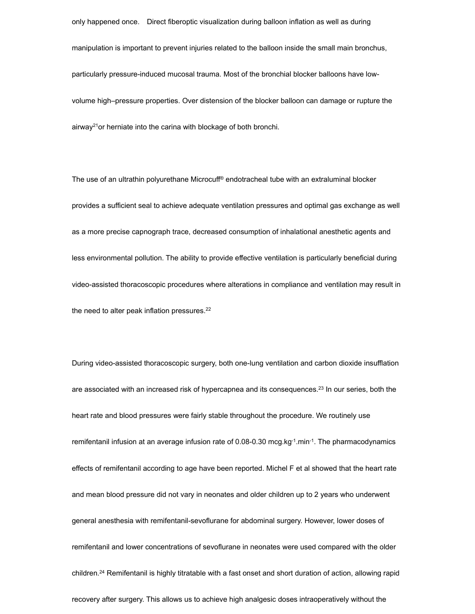only happened once. Direct fiberoptic visualization during balloon inflation as well as during manipulation is important to prevent injuries related to the balloon inside the small main bronchus, particularly pressure-induced mucosal trauma. Most of the bronchial blocker balloons have lowvolume high–pressure properties. Over distension of the blocker balloon can damage or rupture the airway<sup>21</sup> or herniate into the carina with blockage of both bronchi.

The use of an ultrathin polyurethane Microcuff® endotracheal tube with an extraluminal blocker provides a sufficient seal to achieve adequate ventilation pressures and optimal gas exchange as well as a more precise capnograph trace, decreased consumption of inhalational anesthetic agents and less environmental pollution. The ability to provide effective ventilation is particularly beneficial during video-assisted thoracoscopic procedures where alterations in compliance and ventilation may result in the need to alter peak inflation pressures.<sup>22</sup>

During video-assisted thoracoscopic surgery, both one-lung ventilation and carbon dioxide insufflation are associated with an increased risk of hypercapnea and its consequences.<sup>23</sup> In our series, both the heart rate and blood pressures were fairly stable throughout the procedure. We routinely use remifentanil infusion at an average infusion rate of 0.08-0.30 mcg.kg-1.min-1. The pharmacodynamics effects of remifentanil according to age have been reported. Michel F et al showed that the heart rate and mean blood pressure did not vary in neonates and older children up to 2 years who underwent general anesthesia with remifentanil-sevoflurane for abdominal surgery. However, lower doses of remifentanil and lower concentrations of sevoflurane in neonates were used compared with the older children.24 Remifentanil is highly titratable with a fast onset and short duration of action, allowing rapid recovery after surgery. This allows us to achieve high analgesic doses intraoperatively without the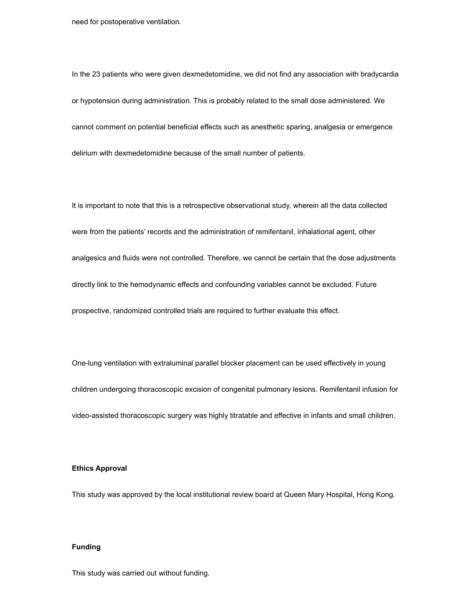need for postoperative ventilation.

In the 23 patients who were given dexmedetomidine, we did not find any association with bradycardia or hypotension during administration. This is probably related to the small dose administered. We cannot comment on potential beneficial effects such as anesthetic sparing, analgesia or emergence delirium with dexmedetomidine because of the small number of patients.

It is important to note that this is a retrospective observational study, wherein all the data collected were from the patients' records and the administration of remifentanil, inhalational agent, other analgesics and fluids were not controlled. Therefore, we cannot be certain that the dose adjustments directly link to the hemodynamic effects and confounding variables cannot be excluded. Future prospective, randomized controlled trials are required to further evaluate this effect.

One-lung ventilation with extraluminal parallel blocker placement can be used effectively in young children undergoing thoracoscopic excision of congenital pulmonary lesions. Remifentanil infusion for video-assisted thoracoscopic surgery was highly titratable and effective in infants and small children.

#### **Ethics Approval**

This study was approved by the local institutional review board at Queen Mary Hospital, Hong Kong.

# **Funding**

This study was carried out without funding.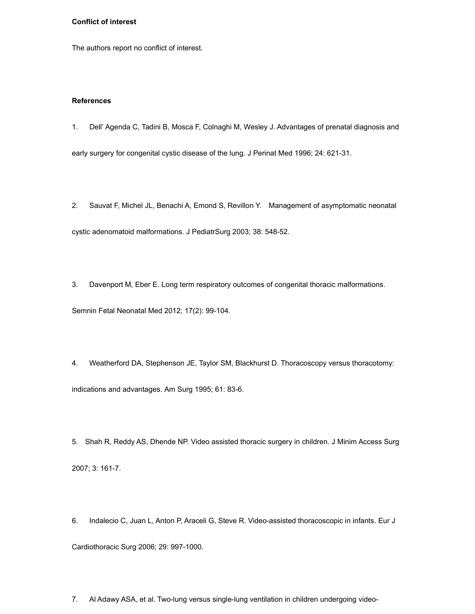## **Conflict of interest**

The authors report no conflict of interest.

#### **References**

1. Dell' Agenda C, Tadini B, Mosca F, Colnaghi M, Wesley J. Advantages of prenatal diagnosis and

early surgery for congenital cystic disease of the lung. J Perinat Med 1996; 24: 621-31.

2. Sauvat F, Michel JL, Benachi A, Emond S, Revillon Y. Management of asymptomatic neonatal cystic adenomatoid malformations. J PediatrSurg 2003; 38: 548-52.

3. Davenport M, Eber E. Long term respiratory outcomes of congenital thoracic malformations.

Semnin Fetal Neonatal Med 2012; 17(2): 99-104.

4. Weatherford DA, Stephenson JE, Taylor SM, Blackhurst D. Thoracoscopy versus thoracotomy: indications and advantages. Am Surg 1995; 61: 83-6.

5. Shah R, Reddy AS, Dhende NP. Video assisted thoracic surgery in children. J Minim Access Surg 2007; 3: 161-7.

6. Indalecio C, Juan L, Anton P, Araceli G, Steve R. Video-assisted thoracoscopic in infants. Eur J Cardiothoracic Surg 2006; 29: 997-1000.

7. Al Adawy ASA, et al. Two-lung versus single-lung ventilation in children undergoing video-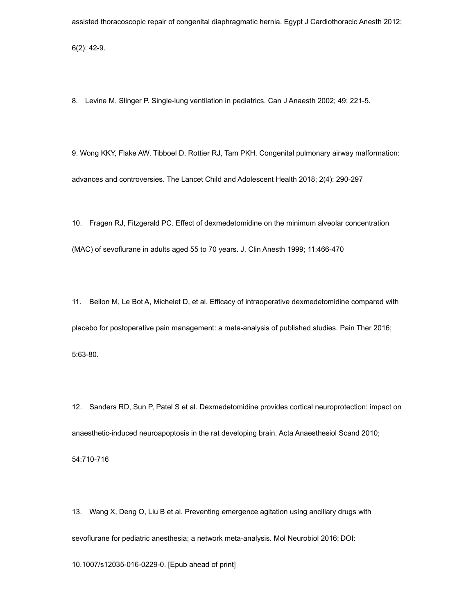assisted thoracoscopic repair of congenital diaphragmatic hernia. Egypt J Cardiothoracic Anesth 2012;

6(2): 42-9.

8. Levine M, Slinger P. Single-lung ventilation in pediatrics. Can J Anaesth 2002; 49: 221-5.

9. Wong KKY, Flake AW, Tibboel D, Rottier RJ, Tam PKH. Congenital pulmonary airway malformation: advances and controversies. The Lancet Child and Adolescent Health 2018; 2(4): 290-297

10. Fragen RJ, Fitzgerald PC. Effect of dexmedetomidine on the minimum alveolar concentration (MAC) of sevoflurane in adults aged 55 to 70 years. J. Clin Anesth 1999; 11:466-470

11. Bellon M, Le Bot A, Michelet D, et al. Efficacy of intraoperative dexmedetomidine compared with placebo for postoperative pain management: a meta-analysis of published studies. Pain Ther 2016; 5:63-80.

12. Sanders RD, Sun P, Patel S et al. Dexmedetomidine provides cortical neuroprotection: impact on anaesthetic-induced neuroapoptosis in the rat developing brain. Acta Anaesthesiol Scand 2010;

54:710-716

13. Wang X, Deng O, Liu B et al. Preventing emergence agitation using ancillary drugs with sevoflurane for pediatric anesthesia; a network meta-analysis. Mol Neurobiol 2016; DOI:

10.1007/s12035-016-0229-0. [Epub ahead of print]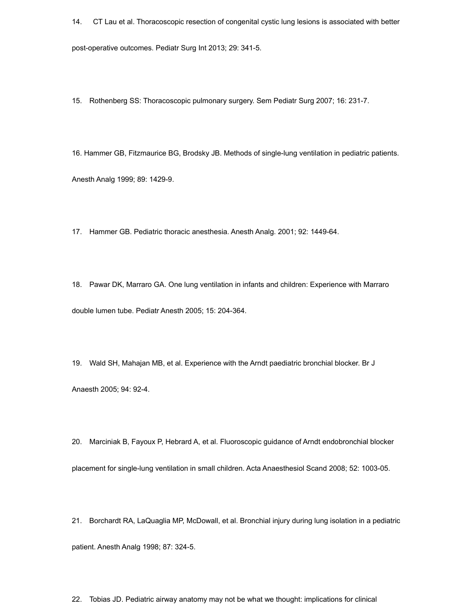14. CT Lau et al. Thoracoscopic resection of congenital cystic lung lesions is associated with better

post-operative outcomes. Pediatr Surg Int 2013; 29: 341-5.

15. Rothenberg SS: Thoracoscopic pulmonary surgery. Sem Pediatr Surg 2007; 16: 231-7.

16. Hammer GB, Fitzmaurice BG, Brodsky JB. Methods of single-lung ventilation in pediatric patients. Anesth Analg 1999; 89: 1429-9.

17. Hammer GB. Pediatric thoracic anesthesia. Anesth Analg. 2001; 92: 1449-64.

18. Pawar DK, Marraro GA. One lung ventilation in infants and children: Experience with Marraro double lumen tube. Pediatr Anesth 2005; 15: 204-364.

19. Wald SH, Mahajan MB, et al. Experience with the Arndt paediatric bronchial blocker. Br J Anaesth 2005; 94: 92-4.

20. Marciniak B, Fayoux P, Hebrard A, et al. Fluoroscopic guidance of Arndt endobronchial blocker placement for single-lung ventilation in small children. Acta Anaesthesiol Scand 2008; 52: 1003-05.

21. Borchardt RA, LaQuaglia MP, McDowall, et al. Bronchial injury during lung isolation in a pediatric patient. Anesth Analg 1998; 87: 324-5.

22. Tobias JD. Pediatric airway anatomy may not be what we thought: implications for clinical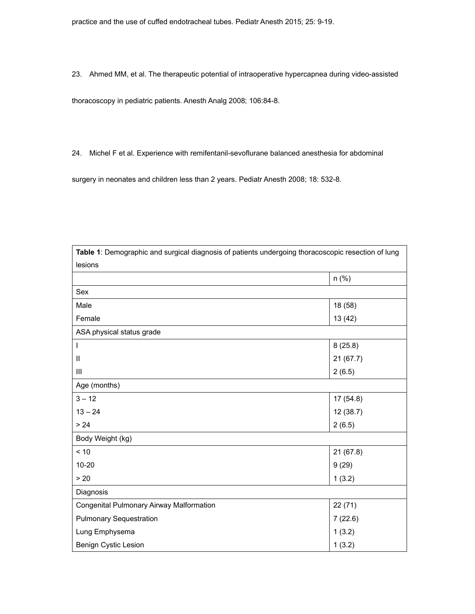23. Ahmed MM, et al. The therapeutic potential of intraoperative hypercapnea during video-assisted

thoracoscopy in pediatric patients. Anesth Analg 2008; 106:84-8.

24. Michel F et al. Experience with remifentanil-sevoflurane balanced anesthesia for abdominal

surgery in neonates and children less than 2 years. Pediatr Anesth 2008; 18: 532-8.

| Table 1: Demographic and surgical diagnosis of patients undergoing thoracoscopic resection of lung |           |  |  |  |  |  |
|----------------------------------------------------------------------------------------------------|-----------|--|--|--|--|--|
| lesions                                                                                            |           |  |  |  |  |  |
|                                                                                                    | $n$ (%)   |  |  |  |  |  |
| Sex                                                                                                |           |  |  |  |  |  |
| Male                                                                                               | 18 (58)   |  |  |  |  |  |
| Female                                                                                             | 13 (42)   |  |  |  |  |  |
| ASA physical status grade                                                                          |           |  |  |  |  |  |
| I                                                                                                  | 8(25.8)   |  |  |  |  |  |
| $\mathbf{I}$                                                                                       | 21(67.7)  |  |  |  |  |  |
| Ш                                                                                                  | 2(6.5)    |  |  |  |  |  |
| Age (months)                                                                                       |           |  |  |  |  |  |
| $3 - 12$                                                                                           | 17(54.8)  |  |  |  |  |  |
| $13 - 24$                                                                                          | 12(38.7)  |  |  |  |  |  |
| $> 24$                                                                                             | 2(6.5)    |  |  |  |  |  |
| Body Weight (kg)                                                                                   |           |  |  |  |  |  |
| < 10                                                                                               | 21 (67.8) |  |  |  |  |  |
| $10 - 20$                                                                                          | 9(29)     |  |  |  |  |  |
| > 20                                                                                               | 1(3.2)    |  |  |  |  |  |
| Diagnosis                                                                                          |           |  |  |  |  |  |
| Congenital Pulmonary Airway Malformation                                                           | 22(71)    |  |  |  |  |  |
| <b>Pulmonary Sequestration</b>                                                                     | 7(22.6)   |  |  |  |  |  |
| Lung Emphysema                                                                                     | 1(3.2)    |  |  |  |  |  |
| <b>Benign Cystic Lesion</b>                                                                        | 1(3.2)    |  |  |  |  |  |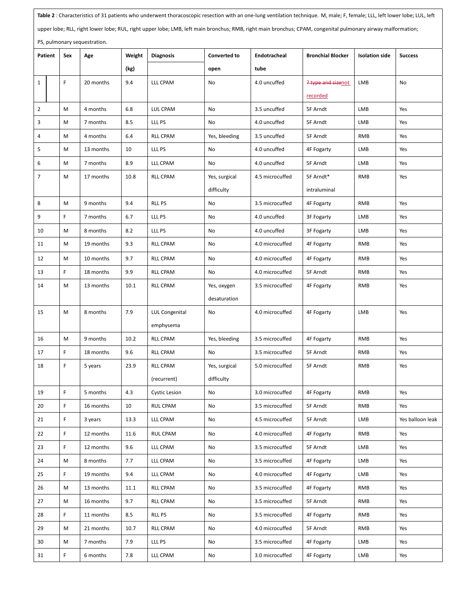| Table 2 : Characteristics of 31 patients who underwent thoracoscopic resection with an one-lung ventilation technique. M, male; F, female; LLL, left lower lobe; LUL, left |         |             |           |        |                      |                     |                 |                          |                       |                  |
|----------------------------------------------------------------------------------------------------------------------------------------------------------------------------|---------|-------------|-----------|--------|----------------------|---------------------|-----------------|--------------------------|-----------------------|------------------|
| upper lobe; RLL, right lower lobe; RUL, right upper lobe; LMB, left main bronchus; RMB, right main bronchus; CPAM, congenital pulmonary airway malformation;               |         |             |           |        |                      |                     |                 |                          |                       |                  |
| PS, pulmonary sequestration.                                                                                                                                               |         |             |           |        |                      |                     |                 |                          |                       |                  |
|                                                                                                                                                                            | Patient | Sex         | Age       | Weight | <b>Diagnosis</b>     | <b>Converted to</b> | Endotracheal    | <b>Bronchial Blocker</b> | <b>Isolation side</b> | <b>Success</b>   |
|                                                                                                                                                                            |         |             |           | (kg)   |                      | open                | tube            |                          |                       |                  |
| $\mathbf{1}$                                                                                                                                                               |         | F           | 20 months | 9.4    | LLL CPAM             | No                  | 4.0 uncuffed    | ? type and sizenot       | LMB                   | No               |
|                                                                                                                                                                            |         |             |           |        |                      |                     |                 | recorded                 |                       |                  |
| $\overline{2}$                                                                                                                                                             |         | M           | 4 months  | 6.8    | LUL CPAM             | No                  | 3.5 uncuffed    | 5F Arndt                 | LMB                   | Yes              |
| 3                                                                                                                                                                          |         | M           | 7 months  | 8.5    | LLL PS               | No                  | 4.0 uncuffed    | 5F Arndt                 | LMB                   | Yes              |
| 4                                                                                                                                                                          |         | M           | 4 months  | 6.4    | <b>RLL CPAM</b>      | Yes, bleeding       | 3.5 uncuffed    | 5F Arndt                 | <b>RMB</b>            | Yes              |
| 5                                                                                                                                                                          |         | М           | 13 months | 10     | LLL PS               | No                  | 4.0 uncuffed    | 4F Fogarty               | LMB                   | Yes              |
| 6                                                                                                                                                                          |         | M           | 7 months  | 8.9    | LLL CPAM             | No                  | 4.0 uncuffed    | 5F Arndt                 | LMB                   | Yes              |
| $\overline{7}$                                                                                                                                                             |         | M           | 17 months | 10.8   | <b>RLL CPAM</b>      | Yes, surgical       | 4.5 microcuffed | 5F Arndt*                | <b>RMB</b>            | Yes              |
|                                                                                                                                                                            |         |             |           |        |                      | difficulty          |                 | intraluminal             |                       |                  |
| 8                                                                                                                                                                          |         | M           | 9 months  | 9.4    | <b>RLL PS</b>        | No                  | 3.5 microcuffed | 4F Fogarty               | <b>RMB</b>            | Yes              |
| 9                                                                                                                                                                          |         | F           | 7 months  | 6.7    | LLL PS               | No                  | 4.0 uncuffed    | 3F Fogarty               | LMB                   | Yes              |
| 10                                                                                                                                                                         |         | M           | 8 months  | 8.2    | LLL PS               | No                  | 4.0 uncuffed    | 3F Fogarty               | LMB                   | Yes              |
| 11                                                                                                                                                                         |         | M           | 19 months | 9.3    | <b>RLL CPAM</b>      | No                  | 4.0 microcuffed | 4F Fogarty               | <b>RMB</b>            | Yes              |
| 12                                                                                                                                                                         |         | M           | 10 months | 9.7    | <b>RLL CPAM</b>      | No                  | 4.0 microcuffed | 4F Fogarty               | <b>RMB</b>            | Yes              |
| 13                                                                                                                                                                         |         | F.          | 18 months | 9.9    | <b>RLL CPAM</b>      | No                  | 4.0 microcuffed | 5F Arndt                 | <b>RMB</b>            | Yes              |
| 14                                                                                                                                                                         |         | M           | 13 months | 10.1   | <b>RLL CPAM</b>      | Yes, oxygen         | 3.5 microcuffed | 4F Fogarty               | <b>RMB</b>            | Yes              |
|                                                                                                                                                                            |         |             |           |        |                      | desaturation        |                 |                          |                       |                  |
| 15                                                                                                                                                                         |         | M           | 8 months  | 7.9    | LUL Congenital       | No                  | 4.0 microcuffed | 4F Fogarty               | LMB                   | Yes              |
|                                                                                                                                                                            |         |             |           |        | emphysema            |                     |                 |                          |                       |                  |
| 16                                                                                                                                                                         |         | M           | 9 months  | 10.2   | <b>RLL CPAM</b>      | Yes, bleeding       | 3.5 microcuffed | 4F Fogarty               | <b>RMB</b>            | Yes              |
| 17                                                                                                                                                                         |         | F           | 18 months | 9.6    | <b>RLL CPAM</b>      | No                  | 3.5 microcuffed | 5F Arndt                 | <b>RMB</b>            | Yes              |
| 18                                                                                                                                                                         |         | F           | 5 years   | 23.9   | <b>RLL CPAM</b>      | Yes, surgical       | 5.0 microcuffed | 5F Arndt                 | <b>RMB</b>            | Yes              |
|                                                                                                                                                                            |         |             |           |        | (recurrent)          | difficulty          |                 |                          |                       |                  |
| 19                                                                                                                                                                         |         | $\mathsf F$ | 5 months  | 4.3    | <b>Cystic Lesion</b> | No                  | 3.0 microcuffed | 4F Fogarty               | <b>RMB</b>            | Yes              |
| 20                                                                                                                                                                         |         | F.          | 16 months | 10     | RUL CPAM             | No                  | 3.5 microcuffed | 5F Arndt                 | RMB                   | Yes              |
| 21                                                                                                                                                                         |         | F.          | 3 years   | 13.3   | LLL CPAM             | No                  | 4.5 microcuffed | 5F Arndt                 | LMB                   | Yes balloon leak |
| 22                                                                                                                                                                         |         | F.          | 12 months | 11.6   | RUL CPAM             | No                  | 4.0 microcuffed | <b>4F Fogarty</b>        | <b>RMB</b>            | Yes              |
| 23                                                                                                                                                                         |         | F           | 12 months | 9.6    | LLL CPAM             | No                  | 3.5 microcuffed | 5F Arndt                 | LMB                   | Yes              |
| 24                                                                                                                                                                         |         | M           | 8 months  | 7.7    | LLL CPAM             | No                  | 3.5 microcuffed | 4F Fogarty               | LMB                   | Yes              |
| 25                                                                                                                                                                         |         | F.          | 19 months | 9.4    | LLL CPAM             | No                  | 4.0 microcuffed | 4F Fogarty               | LMB                   | Yes              |
| 26                                                                                                                                                                         |         | M           | 13 months | 11.1   | <b>RLL CPAM</b>      | No                  | 3.5 microcuffed | 4F Fogarty               | RMB                   | Yes              |
| 27                                                                                                                                                                         |         | M           | 16 months | 9.7    | RLL CPAM             | No                  | 3.5 microcuffed | 5F Arndt                 | RMB                   | Yes              |
| 28                                                                                                                                                                         |         | F.          | 11 months | 8.5    | <b>RLL PS</b>        | No                  | 3.5 microcuffed | 4F Fogarty               | <b>RMB</b>            | Yes              |
| 29                                                                                                                                                                         |         | M           | 21 months | 10.7   | RLL CPAM             | No                  | 4.0 microcuffed | 5F Arndt                 | <b>RMB</b>            | Yes              |
| 30                                                                                                                                                                         |         | М           | 7 months  | 7.9    | LLL PS               | No                  | 3.5 microcuffed | 4F Fogarty               | LMB                   | Yes              |
| 31                                                                                                                                                                         |         | F.          | 6 months  | 7.8    | LLL CPAM             | No                  | 3.0 microcuffed | 4F Fogarty               | LMB                   | Yes              |